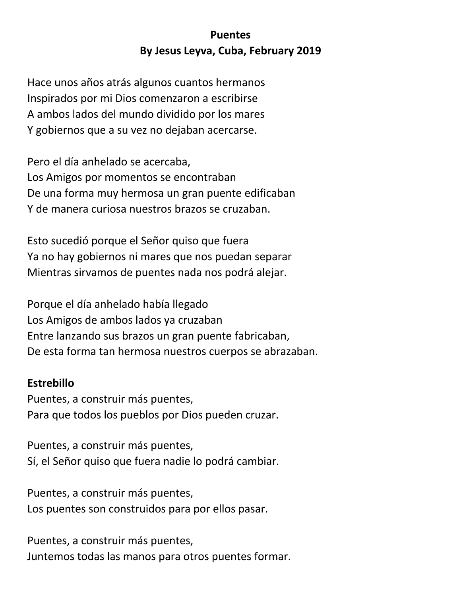## **Puentes By Jesus Leyva, Cuba, February 2019**

Hace unos años atrás algunos cuantos hermanos Inspirados por mi Dios comenzaron a escribirse A ambos lados del mundo dividido por los mares Y gobiernos que a su vez no dejaban acercarse.

Pero el día anhelado se acercaba, Los Amigos por momentos se encontraban De una forma muy hermosa un gran puente edificaban Y de manera curiosa nuestros brazos se cruzaban.

Esto sucedió porque el Señor quiso que fuera Ya no hay gobiernos ni mares que nos puedan separar Mientras sirvamos de puentes nada nos podrá alejar.

Porque el día anhelado había llegado Los Amigos de ambos lados ya cruzaban Entre lanzando sus brazos un gran puente fabricaban, De esta forma tan hermosa nuestros cuerpos se abrazaban.

## **Estrebillo**

Puentes, a construir más puentes, Para que todos los pueblos por Dios pueden cruzar.

Puentes, a construir más puentes, Sí, el Señor quiso que fuera nadie lo podrá cambiar.

Puentes, a construir más puentes, Los puentes son construidos para por ellos pasar.

Puentes, a construir más puentes, Juntemos todas las manos para otros puentes formar.